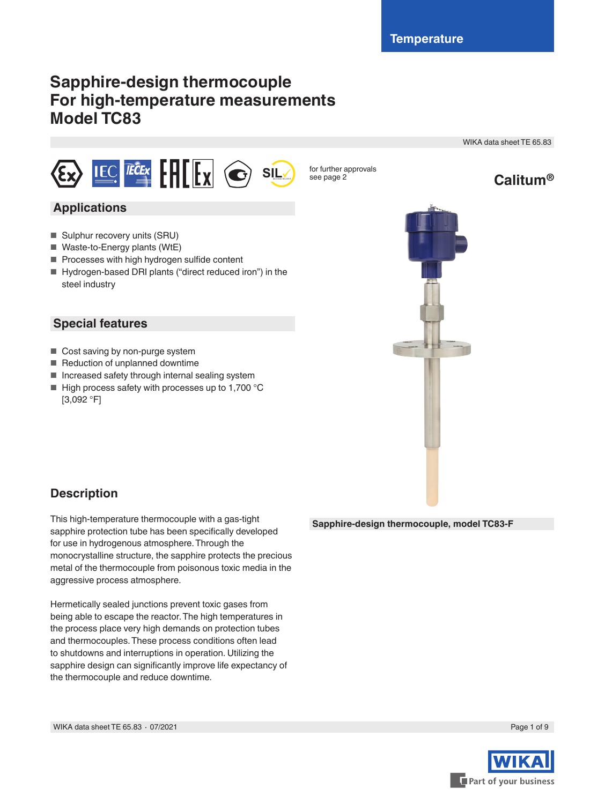WIKA data sheet TE 65.83

**Calitum®**

for further approvals see page 2

# **Sapphire-design thermocouple For high-temperature measurements Model TC83**

 $\mathbb{E}$ **C**  $\mathbb{E}$  **Ex**  $\begin{bmatrix} 1 \\ 1 \end{bmatrix}$   $\begin{bmatrix} 1 \\ 1 \end{bmatrix}$   $\begin{bmatrix} 1 \\ 1 \end{bmatrix}$   $\begin{bmatrix} 1 \\ 1 \end{bmatrix}$   $\begin{bmatrix} 1 \\ 1 \end{bmatrix}$ 

## **Applications**

- Sulphur recovery units (SRU)
- Waste-to-Energy plants (WtE)
- Processes with high hydrogen sulfide content
- Hydrogen-based DRI plants ("direct reduced iron") in the steel industry

### **Special features**

- Cost saving by non-purge system
- Reduction of unplanned downtime
- Increased safety through internal sealing system
- $\blacksquare$  High process safety with processes up to 1,700 °C [3,092 °F]



## **Description**

This high-temperature thermocouple with a gas-tight sapphire protection tube has been specifically developed for use in hydrogenous atmosphere. Through the monocrystalline structure, the sapphire protects the precious metal of the thermocouple from poisonous toxic media in the aggressive process atmosphere.

Hermetically sealed junctions prevent toxic gases from being able to escape the reactor. The high temperatures in the process place very high demands on protection tubes and thermocouples. These process conditions often lead to shutdowns and interruptions in operation. Utilizing the sapphire design can significantly improve life expectancy of the thermocouple and reduce downtime.

**Sapphire-design thermocouple, model TC83-F**

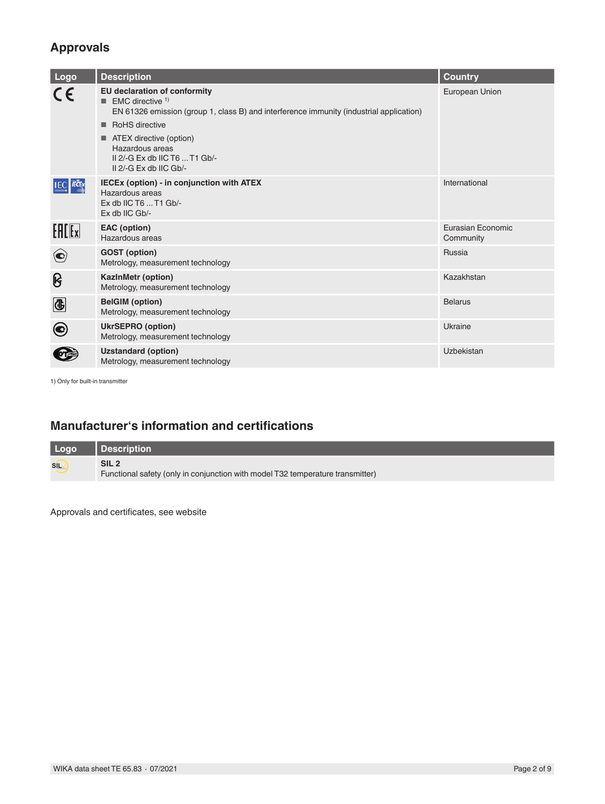## **Approvals**

| Logo                  | <b>Description</b>                                                                                                                                  | <b>Country</b>                 |
|-----------------------|-----------------------------------------------------------------------------------------------------------------------------------------------------|--------------------------------|
| CE                    | EU declaration of conformity<br><b>EMC</b> directive $1$<br>EN 61326 emission (group 1, class B) and interference immunity (industrial application) | European Union                 |
|                       | RoHS directive<br>٠                                                                                                                                 |                                |
|                       | ATEX directive (option)<br>٠<br>Hazardous areas<br>II 2/-G Ex db IIC T6  T1 Gb/-<br>II 2/-G Ex db IIC Gb/-                                          |                                |
| <b>IEC</b> TECEX      | <b>IECEx (option) - in conjunction with ATEX</b><br>Hazardous areas<br>$Ex$ db IIC T6 $$ T1 Gb/-<br>Ex db IIC Gb/-                                  | International                  |
| [ <b>H</b> [ <b>k</b> | EAC (option)<br>Hazardous areas                                                                                                                     | Eurasian Economic<br>Community |
| $\bigodot$            | <b>GOST</b> (option)<br>Metrology, measurement technology                                                                                           | Russia                         |
| ၆                     | <b>KazinMetr (option)</b><br>Metrology, measurement technology                                                                                      | Kazakhstan                     |
| O                     | <b>BelGIM</b> (option)<br>Metrology, measurement technology                                                                                         | <b>Belarus</b>                 |
| $\boldsymbol{\Theta}$ | <b>UkrSEPRO (option)</b><br>Metrology, measurement technology                                                                                       | Ukraine                        |
|                       | <b>Uzstandard (option)</b><br>Metrology, measurement technology                                                                                     | Uzbekistan                     |

1) Only for built-in transmitter

## **Manufacturer's information and certifications**

| Logo | Description                                                                                        |
|------|----------------------------------------------------------------------------------------------------|
| sily | SIL <sub>2</sub><br>Functional safety (only in conjunction with model T32 temperature transmitter) |

Approvals and certificates, see website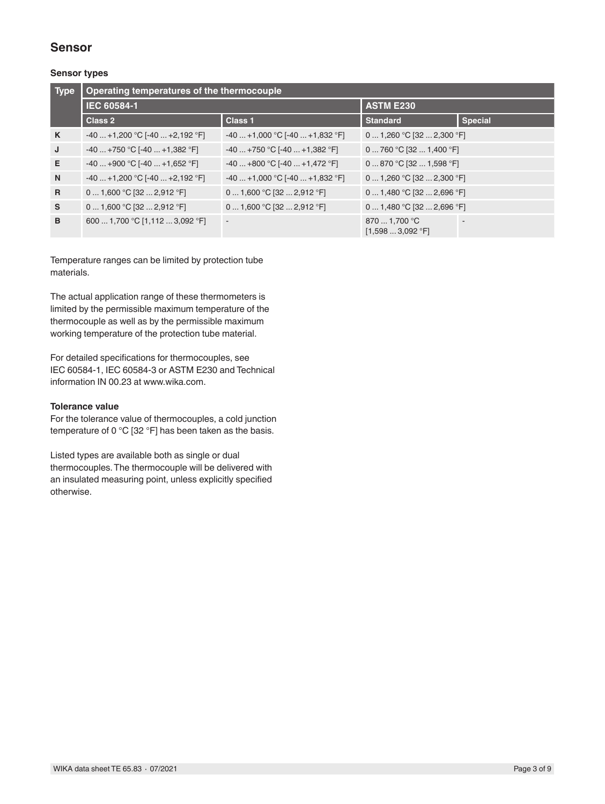### **Sensor**

#### **Sensor types**

| <b>Type</b> | Operating temperatures of the thermocouple |                                   |                                    |                |
|-------------|--------------------------------------------|-----------------------------------|------------------------------------|----------------|
|             | IEC 60584-1                                |                                   | <b>ASTM E230</b>                   |                |
|             | Class 2                                    | <b>Class 1</b>                    | <b>Standard</b>                    | <b>Special</b> |
| K           | $-40$ +1,200 °C [-40  +2,192 °F]           | $-40+1,000$ °C $[-40+1,832$ °F]   | 0  1,260 °C [32  2,300 °F]         |                |
| J           | $-40$ +750 °C [-40  +1,382 °F]             | $-40+750$ °C [ $-40+1,382$ °F]    | 0  760 °C [32  1,400 °F]           |                |
| Е           | $-40+900$ °C [-40  +1,652 °F]              | $-40+800$ °C [ $-40+1,472$ °F]    | 0  870 °C [32  1,598 °F]           |                |
| N           | $-40+1,200 °C$ [ $-40+2,192 °F$ ]          | $-40+1,000 °C$ [ $-40+1,832 °F$ ] | 0  1,260 °C [32  2,300 °F]         |                |
| R           | 0  1,600 °C [32  2,912 °F]                 | 0  1,600 °C [32  2,912 °F]        | 0  1,480 °C [32  2,696 °F]         |                |
| S           | 0  1,600 °C [32  2,912 °F]                 | $01,600 °C$ [32  2,912 °F]        | 0  1,480 °C [32  2,696 °F]         |                |
| в           | 600  1,700 °C [1,112  3,092 °F]            | $\overline{\phantom{a}}$          | 870  1.700 °C<br>$[1,5983,092$ °F] |                |

Temperature ranges can be limited by protection tube materials.

The actual application range of these thermometers is limited by the permissible maximum temperature of the thermocouple as well as by the permissible maximum working temperature of the protection tube material.

For detailed specifications for thermocouples, see IEC 60584-1, IEC 60584-3 or ASTM E230 and Technical information IN 00.23 at www.wika.com.

#### **Tolerance value**

For the tolerance value of thermocouples, a cold junction temperature of 0 °C [32 °F] has been taken as the basis.

Listed types are available both as single or dual thermocouples. The thermocouple will be delivered with an insulated measuring point, unless explicitly specified otherwise.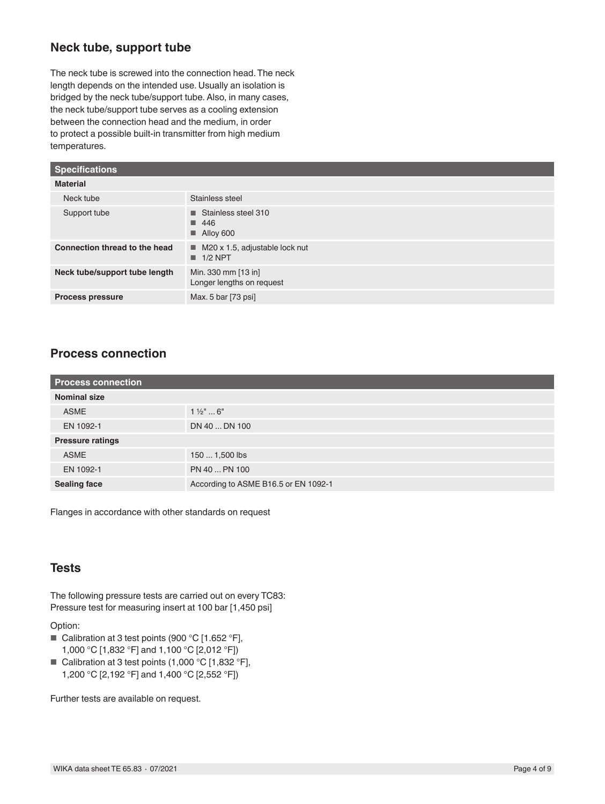### **Neck tube, support tube**

The neck tube is screwed into the connection head. The neck length depends on the intended use. Usually an isolation is bridged by the neck tube/support tube. Also, in many cases, the neck tube/support tube serves as a cooling extension between the connection head and the medium, in order to protect a possible built-in transmitter from high medium temperatures.

| <b>Specifications</b>         |                                                              |
|-------------------------------|--------------------------------------------------------------|
| <b>Material</b>               |                                                              |
| Neck tube                     | Stainless steel                                              |
| Support tube                  | Stainless steel 310<br>ш.<br>$\blacksquare$ 446<br>Alloy 600 |
| Connection thread to the head | M20 x 1.5, adjustable lock nut<br>$\blacksquare$ 1/2 NPT     |
| Neck tube/support tube length | Min. 330 mm [13 in]<br>Longer lengths on request             |
| <b>Process pressure</b>       | Max. 5 bar [73 psi]                                          |

## **Process connection**

| <b>Process connection</b> |                                      |
|---------------------------|--------------------------------------|
| <b>Nominal size</b>       |                                      |
| <b>ASME</b>               | $1\frac{1}{2}$ "  6"                 |
| EN 1092-1                 | DN 40  DN 100                        |
| <b>Pressure ratings</b>   |                                      |
| <b>ASME</b>               | 150  1,500 lbs                       |
| EN 1092-1                 | PN 40  PN 100                        |
| <b>Sealing face</b>       | According to ASME B16.5 or EN 1092-1 |

Flanges in accordance with other standards on request

### **Tests**

The following pressure tests are carried out on every TC83: Pressure test for measuring insert at 100 bar [1,450 psi]

Option:

- Calibration at 3 test points (900 °C [1.652 °F], 1,000 °C [1,832 °F] and 1,100 °C [2,012 °F])
- Calibration at 3 test points (1,000 °C [1,832 °F], 1,200 °C [2,192 °F] and 1,400 °C [2,552 °F])

Further tests are available on request.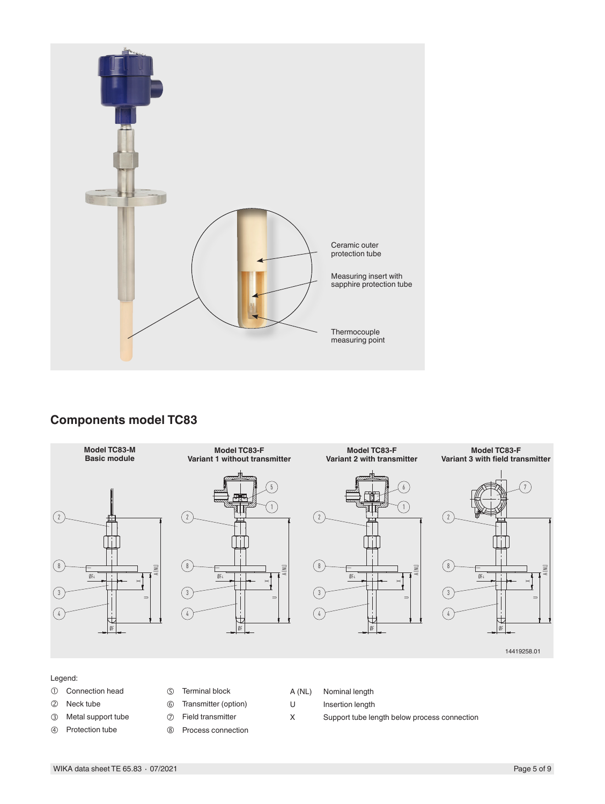

### **Components model TC83**



#### Legend:

- **3.** Connection head
- 2 Neck tube
- 3 Metal support tube
- 4 Protection tube
- **5** Terminal block
- Transmitter (option)
- Field transmitter
- Process connection
- A (NL) Nominal length
- U Insertion length
- X Support tube length below process connection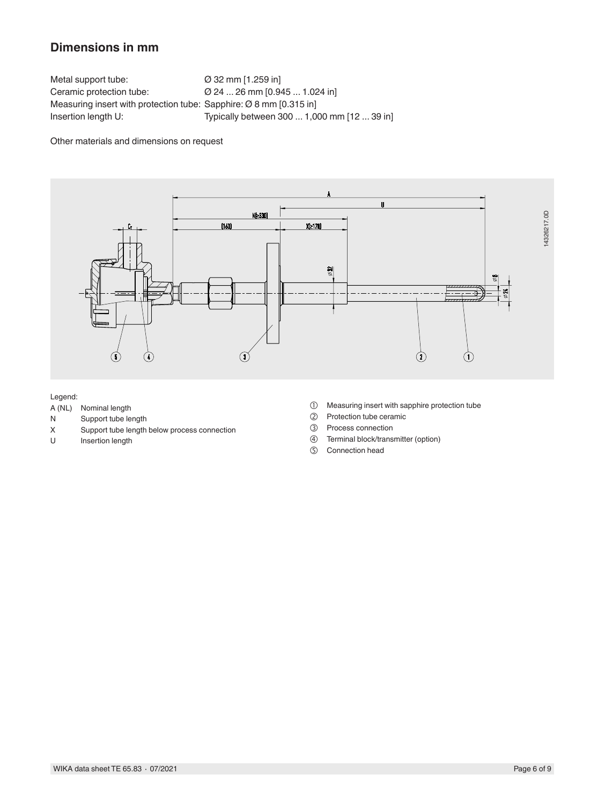### **Dimensions in mm**

Metal support tube:  $\varnothing$  32 mm [1.259 in] Ceramic protection tube: Ø 24 ... 26 mm [0.945 ... 1.024 in] Measuring insert with protection tube: Sapphire: Ø 8 mm [0.315 in]<br>Insertion length U: Typically between 300 ... 1,0 Typically between 300 ... 1,000 mm [12 ... 39 in]

Other materials and dimensions on request



Legend:

- A (NL) Nominal length
- N Support tube length<br>X Support tube length
- Support tube length below process connection
- U Insertion length
- Measuring insert with sapphire protection tube
- Protection tube ceramic
- Process connection
- Terminal block/transmitter (option)
- Connection head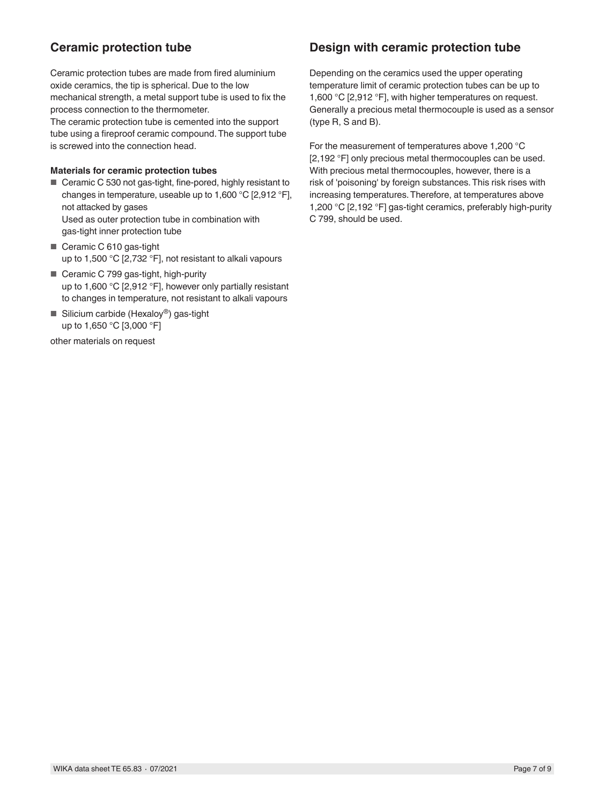## **Ceramic protection tube**

Ceramic protection tubes are made from fired aluminium oxide ceramics, the tip is spherical. Due to the low mechanical strength, a metal support tube is used to fix the process connection to the thermometer.

The ceramic protection tube is cemented into the support tube using a fireproof ceramic compound. The support tube is screwed into the connection head.

#### **Materials for ceramic protection tubes**

- Ceramic C 530 not gas-tight, fine-pored, highly resistant to changes in temperature, useable up to 1,600 °C [2,912 °F], not attacked by gases Used as outer protection tube in combination with gas-tight inner protection tube
- Ceramic C 610 gas-tight up to 1,500 °C [2,732 °F], not resistant to alkali vapours
- Ceramic C 799 gas-tight, high-purity up to 1,600 °C [2,912 °F], however only partially resistant to changes in temperature, not resistant to alkali vapours
- Silicium carbide (Hexaloy<sup>®</sup>) gas-tight up to 1,650 °C [3,000 °F]

other materials on request

### **Design with ceramic protection tube**

Depending on the ceramics used the upper operating temperature limit of ceramic protection tubes can be up to 1,600 °C [2,912 °F], with higher temperatures on request. Generally a precious metal thermocouple is used as a sensor (type R, S and B).

For the measurement of temperatures above 1,200 °C [2,192 °F] only precious metal thermocouples can be used. With precious metal thermocouples, however, there is a risk of 'poisoning' by foreign substances. This risk rises with increasing temperatures. Therefore, at temperatures above 1,200 °C [2,192 °F] gas-tight ceramics, preferably high-purity C 799, should be used.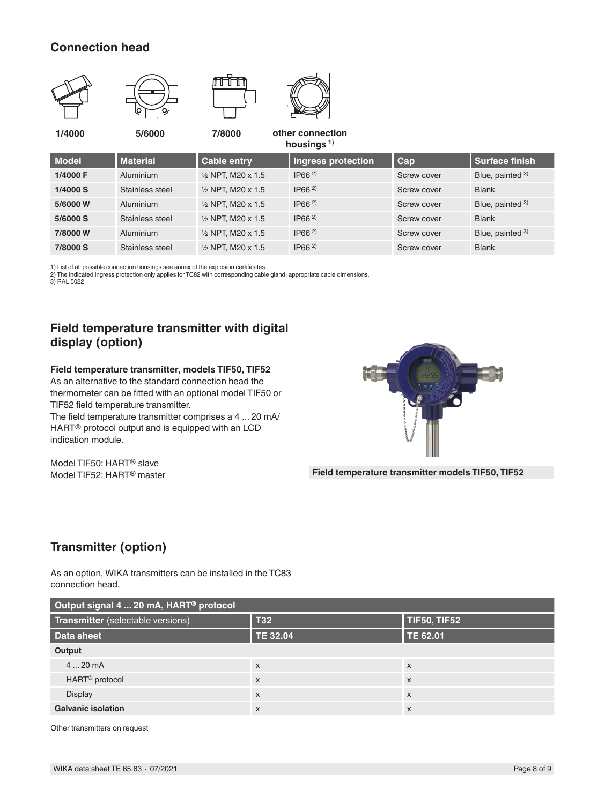## **Connection head**

| $ -$<br>ेन<br>—             |          | –<br>$\mathscr{M}$<br>₩<br>__              |             |                  |
|-----------------------------|----------|--------------------------------------------|-------------|------------------|
| 5/6000<br>1/4000            |          | other connection<br>housings <sup>1)</sup> |             |                  |
| Cable entry<br>Material     | Model    | Ingress protection                         | $ $ Cap     | Surface finish   |
| 1/4000 F<br>Aluminium       |          | IP66 <sup>2</sup><br>1/2 NPT, M20 x 1.5    | Screw cover | Blue, painted 3) |
| 1/4000 S<br>Stainless steel |          | $IP66^{2}$<br>1/2 NPT, M20 x 1.5           | Screw cover | <b>Blank</b>     |
| 5/6000W<br>Aluminium        |          | IP66 <sup>2</sup><br>1/2 NPT, M20 x 1.5    | Screw cover | Blue, painted 3) |
| 5/6000 S<br>Stainless steel |          | IP66 <sup>2</sup><br>1/2 NPT, M20 x 1.5    | Screw cover | <b>Blank</b>     |
| Aluminium                   | 7/8000W  | $IP66^{2}$<br>1/2 NPT, M20 x 1.5           | Screw cover | Blue, painted 3) |
| Stainless steel             | 7/8000 S | $IP66^{2}$<br>1/2 NPT, M20 x 1.5           | Screw cover | <b>Blank</b>     |

1) List of all possible connection housings see annex of the explosion certificates. 2) The indicated ingress protection only applies for TC82 with corresponding cable gland, appropriate cable dimensions.

3) RAL 5022

## **Field temperature transmitter with digital display (option)**

#### **Field temperature transmitter, models TIF50, TIF52**

As an alternative to the standard connection head the thermometer can be fitted with an optional model TIF50 or TIF52 field temperature transmitter.

The field temperature transmitter comprises a 4 ... 20 mA/ HART® protocol output and is equipped with an LCD indication module.



Model TIF50: HART<sup>®</sup> slave<br>Model TIF52: HART<sup>®</sup> master

#### **Field temperature transmitter models TIF50, TIF52**

## **Transmitter (option)**

As an option, WIKA transmitters can be installed in the TC83 connection head.

| Output signal 4  20 mA, HART <sup>®</sup> protocol |                           |                     |  |
|----------------------------------------------------|---------------------------|---------------------|--|
| Transmitter (selectable versions)                  | <b>T32</b>                | <b>TIF50, TIF52</b> |  |
| <b>Data sheet</b>                                  | <b>TE 32.04</b>           | TE 62.01            |  |
| Output                                             |                           |                     |  |
| 420mA                                              | $\boldsymbol{\mathsf{x}}$ | X                   |  |
| HART <sup>®</sup> protocol                         | X                         | X                   |  |
| <b>Display</b>                                     | $\boldsymbol{\mathsf{x}}$ | X                   |  |
| <b>Galvanic isolation</b>                          | X                         | X                   |  |

Other transmitters on request